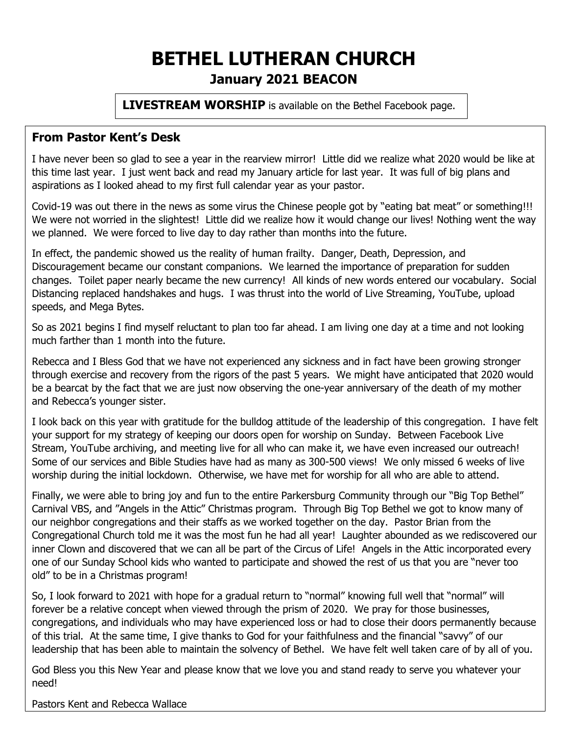## **BETHEL LUTHERAN CHURCH January 2021 BEACON**

**LIVESTREAM WORSHIP** is available on the Bethel Facebook page.

#### **From Pastor Kent's Desk**

I have never been so glad to see a year in the rearview mirror! Little did we realize what 2020 would be like at this time last year. I just went back and read my January article for last year. It was full of big plans and aspirations as I looked ahead to my first full calendar year as your pastor.

Covid-19 was out there in the news as some virus the Chinese people got by "eating bat meat" or something!!! We were not worried in the slightest! Little did we realize how it would change our lives! Nothing went the way we planned. We were forced to live day to day rather than months into the future.

In effect, the pandemic showed us the reality of human frailty. Danger, Death, Depression, and Discouragement became our constant companions. We learned the importance of preparation for sudden changes. Toilet paper nearly became the new currency! All kinds of new words entered our vocabulary. Social Distancing replaced handshakes and hugs. I was thrust into the world of Live Streaming, YouTube, upload speeds, and Mega Bytes.

So as 2021 begins I find myself reluctant to plan too far ahead. I am living one day at a time and not looking much farther than 1 month into the future.

Rebecca and I Bless God that we have not experienced any sickness and in fact have been growing stronger through exercise and recovery from the rigors of the past 5 years. We might have anticipated that 2020 would be a bearcat by the fact that we are just now observing the one-year anniversary of the death of my mother and Rebecca's younger sister.

I look back on this year with gratitude for the bulldog attitude of the leadership of this congregation. I have felt your support for my strategy of keeping our doors open for worship on Sunday. Between Facebook Live Stream, YouTube archiving, and meeting live for all who can make it, we have even increased our outreach! Some of our services and Bible Studies have had as many as 300-500 views! We only missed 6 weeks of live worship during the initial lockdown. Otherwise, we have met for worship for all who are able to attend.

Finally, we were able to bring joy and fun to the entire Parkersburg Community through our "Big Top Bethel" Carnival VBS, and "Angels in the Attic" Christmas program. Through Big Top Bethel we got to know many of our neighbor congregations and their staffs as we worked together on the day. Pastor Brian from the Congregational Church told me it was the most fun he had all year! Laughter abounded as we rediscovered our inner Clown and discovered that we can all be part of the Circus of Life! Angels in the Attic incorporated every one of our Sunday School kids who wanted to participate and showed the rest of us that you are "never too old" to be in a Christmas program!

So, I look forward to 2021 with hope for a gradual return to "normal" knowing full well that "normal" will forever be a relative concept when viewed through the prism of 2020. We pray for those businesses, congregations, and individuals who may have experienced loss or had to close their doors permanently because of this trial. At the same time, I give thanks to God for your faithfulness and the financial "savvy" of our leadership that has been able to maintain the solvency of Bethel. We have felt well taken care of by all of you.

God Bless you this New Year and please know that we love you and stand ready to serve you whatever your need!

Pastors Kent and Rebecca Wallace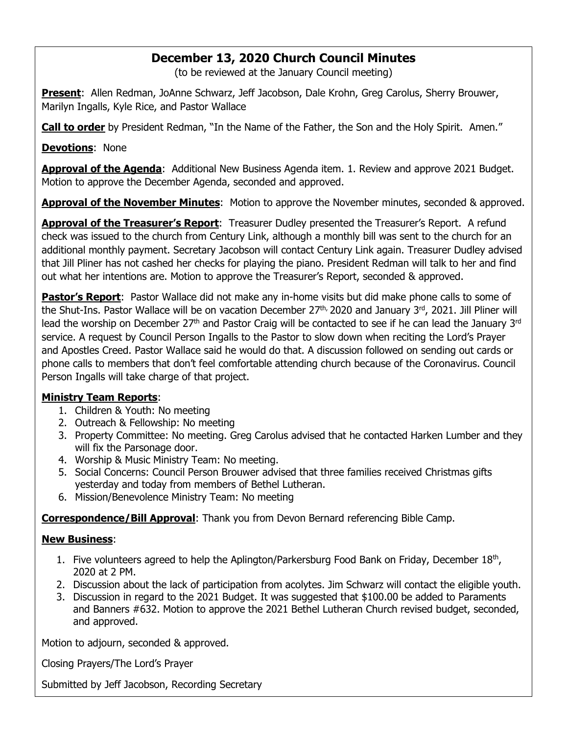### **December 13, 2020 Church Council Minutes**

(to be reviewed at the January Council meeting)

**Present**: Allen Redman, JoAnne Schwarz, Jeff Jacobson, Dale Krohn, Greg Carolus, Sherry Brouwer, Marilyn Ingalls, Kyle Rice, and Pastor Wallace

**Call to order** by President Redman, "In the Name of the Father, the Son and the Holy Spirit. Amen."

**Devotions**: None

**Approval of the Agenda**: Additional New Business Agenda item. 1. Review and approve 2021 Budget. Motion to approve the December Agenda, seconded and approved.

**Approval of the November Minutes**: Motion to approve the November minutes, seconded & approved.

**Approval of the Treasurer's Report**: Treasurer Dudley presented the Treasurer's Report. A refund check was issued to the church from Century Link, although a monthly bill was sent to the church for an additional monthly payment. Secretary Jacobson will contact Century Link again. Treasurer Dudley advised that Jill Pliner has not cashed her checks for playing the piano. President Redman will talk to her and find out what her intentions are. Motion to approve the Treasurer's Report, seconded & approved.

**Pastor's Report**: Pastor Wallace did not make any in-home visits but did make phone calls to some of the Shut-Ins. Pastor Wallace will be on vacation December 27<sup>th,</sup> 2020 and January 3<sup>rd</sup>, 2021. Jill Pliner will lead the worship on December 27<sup>th</sup> and Pastor Craig will be contacted to see if he can lead the January 3<sup>rd</sup> service. A request by Council Person Ingalls to the Pastor to slow down when reciting the Lord's Prayer and Apostles Creed. Pastor Wallace said he would do that. A discussion followed on sending out cards or phone calls to members that don't feel comfortable attending church because of the Coronavirus. Council Person Ingalls will take charge of that project.

#### **Ministry Team Reports**:

- 1. Children & Youth: No meeting
- 2. Outreach & Fellowship: No meeting
- 3. Property Committee: No meeting. Greg Carolus advised that he contacted Harken Lumber and they will fix the Parsonage door.
- 4. Worship & Music Ministry Team: No meeting.
- 5. Social Concerns: Council Person Brouwer advised that three families received Christmas gifts yesterday and today from members of Bethel Lutheran.
- 6. Mission/Benevolence Ministry Team: No meeting

**Correspondence/Bill Approval**: Thank you from Devon Bernard referencing Bible Camp.

#### **New Business**:

- 1. Five volunteers agreed to help the Aplington/Parkersburg Food Bank on Friday, December  $18<sup>th</sup>$ , 2020 at 2 PM.
- 2. Discussion about the lack of participation from acolytes. Jim Schwarz will contact the eligible youth.
- 3. Discussion in regard to the 2021 Budget. It was suggested that \$100.00 be added to Paraments and Banners #632. Motion to approve the 2021 Bethel Lutheran Church revised budget, seconded, and approved.

Motion to adjourn, seconded & approved.

Closing Prayers/The Lord's Prayer

Submitted by Jeff Jacobson, Recording Secretary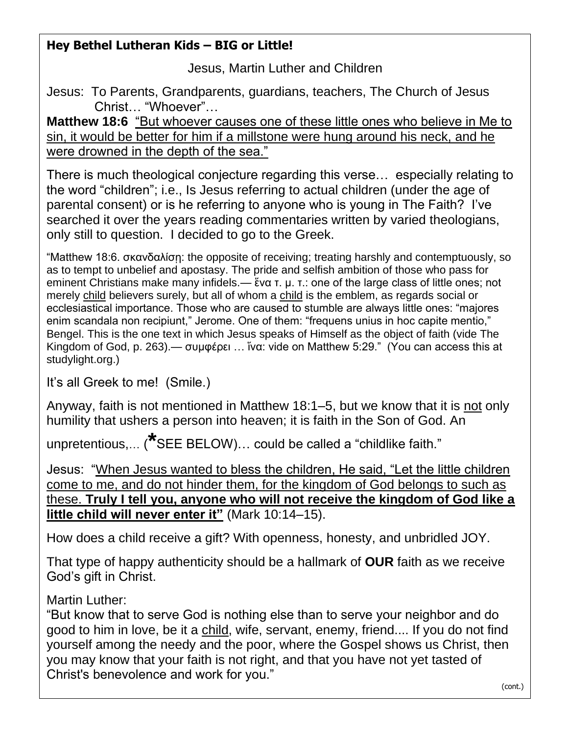## **Hey Bethel Lutheran Kids – BIG or Little!**

Jesus, Martin Luther and Children

Jesus: To Parents, Grandparents, guardians, teachers, The Church of Jesus Christ… "Whoever"…

**Matthew 18:6** "But whoever causes one of these little ones who believe in Me to sin, it would be better for him if a millstone were hung around his neck, and he were drowned in the depth of the sea."

There is much theological conjecture regarding this verse… especially relating to the word "children"; i.e., Is Jesus referring to actual children (under the age of parental consent) or is he referring to anyone who is young in The Faith? I've searched it over the years reading commentaries written by varied theologians, only still to question. I decided to go to the Greek.

"Matthew 18:6. σκανδαλίσῃ: the opposite of receiving; treating harshly and contemptuously, so as to tempt to unbelief and apostasy. The pride and selfish ambition of those who pass for eminent Christians make many infidels.— ἕνα τ. μ. τ.: one of the large class of little ones; not merely child believers surely, but all of whom a child is the emblem, as regards social or ecclesiastical importance. Those who are caused to stumble are always little ones: "majores enim scandala non recipiunt," Jerome. One of them: "frequens unius in hoc capite mentio," Bengel. This is the one text in which Jesus speaks of Himself as the object of faith (vide The Kingdom of God, p. 263).— συμφέρει … ἵνα: vide on Matthew 5:29." (You can access this at studylight.org.)

It's all Greek to me! (Smile.)

Anyway, faith is not mentioned in Matthew 18:1–5, but we know that it is not only humility that ushers a person into heaven; it is faith in the Son of God. An

unpretentious,… (**\***SEE BELOW)… could be called a "childlike faith."

Jesus: "When Jesus wanted to bless the children, He said, "Let the little children come to me, and do not hinder them, for the kingdom of God belongs to such as these. **Truly I tell you, anyone who will not receive the kingdom of God like a little child will never enter it"** (Mark 10:14–15).

How does a child receive a gift? With openness, honesty, and unbridled JOY.

That type of happy authenticity should be a hallmark of **OUR** faith as we receive God's gift in Christ.

Martin Luther:

"But know that to serve God is nothing else than to serve your neighbor and do good to him in love, be it a child, wife, servant, enemy, friend.... If you do not find yourself among the needy and the poor, where the Gospel shows us Christ, then you may know that your faith is not right, and that you have not yet tasted of Christ's benevolence and work for you."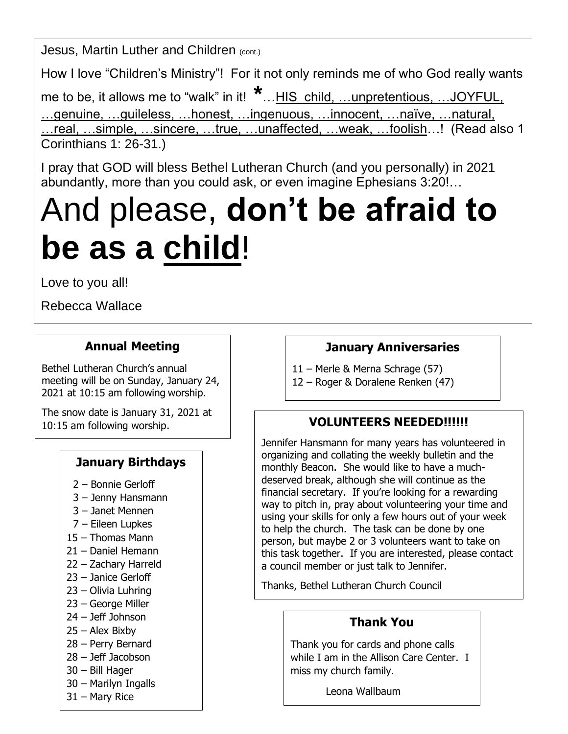Jesus, Martin Luther and Children (cont.)

How I love "Children's Ministry"! For it not only reminds me of who God really wants

me to be, it allows me to "walk" in it! **\*** ... HIS child, ... unpretentious, ... JOYFUL, …genuine, …guileless, …honest, …ingenuous, …innocent, …naïve, …natural, …real, …simple, …sincere, …true, …unaffected, …weak, …foolish…! (Read also 1 Corinthians 1: 26-31.)

I pray that GOD will bless Bethel Lutheran Church (and you personally) in 2021 abundantly, more than you could ask, or even imagine Ephesians 3:20!…

# And please, **don't be afraid to be as a child**!

Love to you all!

Rebecca Wallace

## **Annual Meeting**

Bethel Lutheran Church's annual meeting will be on Sunday, January 24, 2021 at 10:15 am following worship.

The snow date is January 31, 2021 at 10:15 am following worship.

## **January Birthdays**

- 2 Bonnie Gerloff
- 3 Jenny Hansmann
- 3 Janet Mennen
- 7 Eileen Lupkes
- 15 Thomas Mann
- 21 Daniel Hemann
- 22 Zachary Harreld
- 23 Janice Gerloff
- 23 Olivia Luhring
- 23 George Miller
- 24 Jeff Johnson
- 25 Alex Bixby
- 28 Perry Bernard
- 28 Jeff Jacobson
- 30 Bill Hager
- 30 Marilyn Ingalls
- 31 Mary Rice

## **January Anniversaries**

- 11 Merle & Merna Schrage (57)
- 12 Roger & Doralene Renken (47)

## **VOLUNTEERS NEEDED!!!!!!**

Jennifer Hansmann for many years has volunteered in organizing and collating the weekly bulletin and the monthly Beacon. She would like to have a muchdeserved break, although she will continue as the financial secretary. If you're looking for a rewarding way to pitch in, pray about volunteering your time and using your skills for only a few hours out of your week to help the church. The task can be done by one person, but maybe 2 or 3 volunteers want to take on this task together. If you are interested, please contact a council member or just talk to Jennifer.

Thanks, Bethel Lutheran Church Council

## **Thank You**

Thank you for cards and phone calls while I am in the Allison Care Center. I miss my church family.

Leona Wallbaum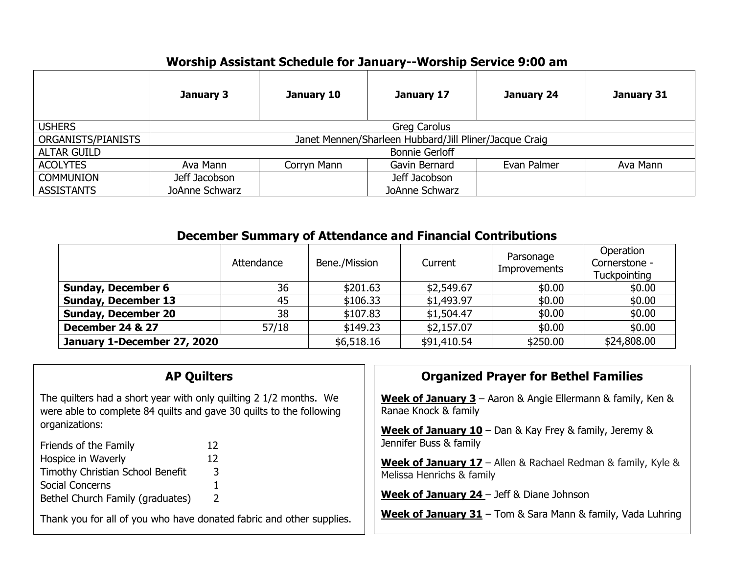## **Worship Assistant Schedule for January--Worship Service 9:00 am**

|                    | January 3                                              | January 10  | January 17     | January 24  | January 31 |  |
|--------------------|--------------------------------------------------------|-------------|----------------|-------------|------------|--|
| <b>USHERS</b>      | Greg Carolus                                           |             |                |             |            |  |
| ORGANISTS/PIANISTS | Janet Mennen/Sharleen Hubbard/Jill Pliner/Jacque Craig |             |                |             |            |  |
| <b>ALTAR GUILD</b> | <b>Bonnie Gerloff</b>                                  |             |                |             |            |  |
| <b>ACOLYTES</b>    | Ava Mann                                               | Corryn Mann | Gavin Bernard  | Evan Palmer | Ava Mann   |  |
| <b>COMMUNION</b>   | Jeff Jacobson                                          |             | Jeff Jacobson  |             |            |  |
| <b>ASSISTANTS</b>  | JoAnne Schwarz                                         |             | JoAnne Schwarz |             |            |  |

#### **December Summary of Attendance and Financial Contributions**

|                             | Attendance | Bene./Mission | Current     | Parsonage<br><b>Improvements</b> | Operation<br>Cornerstone -<br><b>Tuckpointing</b> |
|-----------------------------|------------|---------------|-------------|----------------------------------|---------------------------------------------------|
| <b>Sunday, December 6</b>   | 36         | \$201.63      | \$2,549.67  | \$0.00                           | \$0.00                                            |
| <b>Sunday, December 13</b>  | 45         | \$106.33      | \$1,493.97  | \$0.00                           | \$0.00                                            |
| <b>Sunday, December 20</b>  | 38         | \$107.83      | \$1,504.47  | \$0.00                           | \$0.00                                            |
| December 24 & 27            | 57/18      | \$149.23      | \$2,157.07  | \$0.00                           | \$0.00                                            |
| January 1-December 27, 2020 |            | \$6,518.16    | \$91,410.54 | \$250.00                         | \$24,808.00                                       |

#### **AP Quilters**

The quilters had a short year with only quilting 2 1/2 months. We were able to complete 84 quilts and gave 30 quilts to the following organizations:

| Friends of the Family            | 12            |
|----------------------------------|---------------|
| Hospice in Waverly               | 12            |
| Timothy Christian School Benefit | 3             |
| Social Concerns                  |               |
| Bethel Church Family (graduates) | $\mathcal{L}$ |

Thank you for all of you who have donated fabric and other supplies.

#### **Organized Prayer for Bethel Families**

**Week of January 3** – Aaron & Angie Ellermann & family, Ken & Ranae Knock & family

**Week of January 10** – Dan & Kay Frey & family, Jeremy & Jennifer Buss & family

**Week of January 17** – Allen & Rachael Redman & family, Kyle & Melissa Henrichs & family

**Week of January 24** – Jeff & Diane Johnson

**Week of January 31** – Tom & Sara Mann & family, Vada Luhring